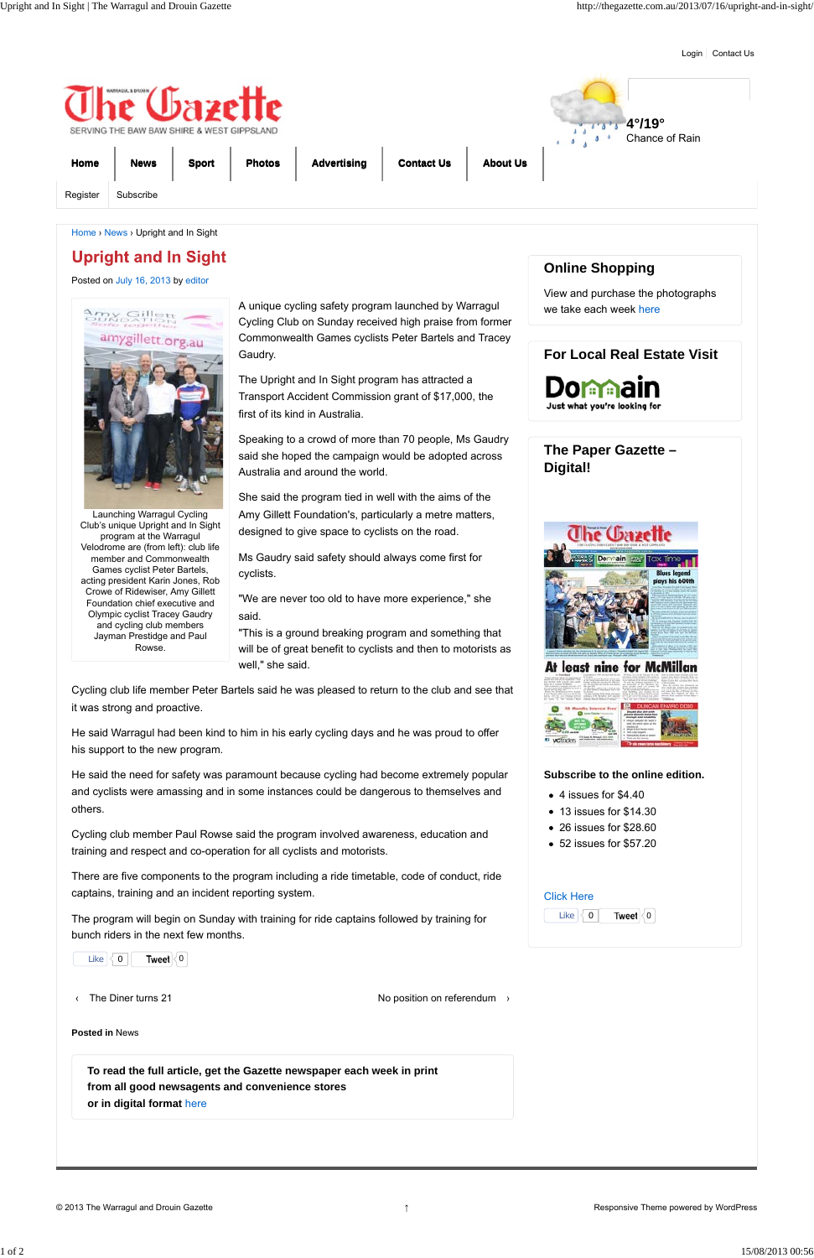Login | Contact Us

Launching Warragul Cycling Club's unique Upright and In Sight program at the Warragul Velodrome are (from left): club life member and Commonwealth Games cyclist Peter Bartels, acting president Karin Jones, Rob Crowe of Ridewiser, Amy Gillett Foundation chief executive and Olympic cyclist Tracey Gaudry and cycling club members Jayman Prestidge and Paul Rowse.

Posted on July 16, 2013 by editor



A unique cycling safety program launched by Warragul Cycling Club on Sunday received high praise from former Commonwealth Games cyclists Peter Bartels and Tracey Gaudry.

The Upright and In Sight program has attracted a Transport Accident Commission grant of \$17,000, the first of its kind in Australia.

Speaking to a crowd of more than 70 people, Ms Gaudry said she hoped the campaign would be adopted across Australia and around the world.

She said the program tied in well with the aims of the Amy Gillett Foundation's, particularly a metre matters, designed to give space to cyclists on the road.

Ms Gaudry said safety should always come first for cyclists.

"We are never too old to have more experience," she said.

"This is a ground breaking program and something that will be of great benefit to cyclists and then to motorists as well," she said.

Cycling club life member Peter Bartels said he was pleased to return to the club and see that it was strong and proactive.

He said Warragul had been kind to him in his early cycling days and he was proud to offer his support to the new program.



# **Upright and In Sight**

He said the need for safety was paramount because cycling had become extremely popular and cyclists were amassing and in some instances could be dangerous to themselves and others.

Cycling club member Paul Rowse said the program involved awareness, education and training and respect and co-operation for all cyclists and motorists.

There are five components to the program including a ride timetable, code of conduct, ride captains, training and an incident reporting system.

The program will begin on Sunday with training for ride captains followed by training for

## **Online Shopping**

View and purchase the photographs we take each week here

### **For Local Real Estate Visit**

Domaa Just what you're looking for

# **The Paper Gazette – Digital!**



| l ike |  | Tweet ∣∢ 0 |  |
|-------|--|------------|--|
|-------|--|------------|--|

| Like $\vert \langle 0 \vert \vert$<br>Tweet $\vert\langle 0\vert\vert$                                                                                 |                                         |
|--------------------------------------------------------------------------------------------------------------------------------------------------------|-----------------------------------------|
| The Diner turns 21                                                                                                                                     | No position on referendum $\rightarrow$ |
| <b>Posted in News</b>                                                                                                                                  |                                         |
| To read the full article, get the Gazette newspaper each week in print<br>from all good newsagents and convenience stores<br>or in digital format here |                                         |

### **Subscribe to the online edition.**

- 4 issues for \$4.40
- 13 issues for \$14.30
- 26 issues for \$28.60
- 52 issues for \$57.20

#### Click Here